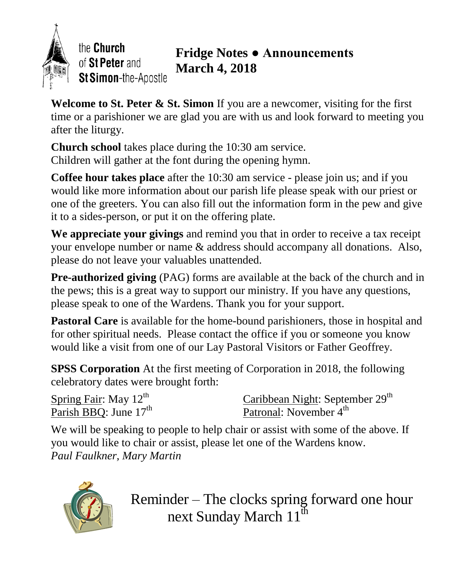

the Church of St Peter and St Simon-the-Apostle

## **Fridge Notes ● Announcements March 4, 2018**

**Welcome to St. Peter & St. Simon** If you are a newcomer, visiting for the first time or a parishioner we are glad you are with us and look forward to meeting you after the liturgy.

**Church school** takes place during the 10:30 am service. Children will gather at the font during the opening hymn.

**Coffee hour takes place** after the 10:30 am service - please join us; and if you would like more information about our parish life please speak with our priest or one of the greeters. You can also fill out the information form in the pew and give it to a sides-person, or put it on the offering plate.

**We appreciate your givings** and remind you that in order to receive a tax receipt your envelope number or name & address should accompany all donations. Also, please do not leave your valuables unattended.

**Pre-authorized giving** (PAG) forms are available at the back of the church and in the pews; this is a great way to support our ministry. If you have any questions, please speak to one of the Wardens. Thank you for your support.

**Pastoral Care** is available for the home-bound parishioners, those in hospital and for other spiritual needs. Please contact the office if you or someone you know would like a visit from one of our Lay Pastoral Visitors or Father Geoffrey.

**SPSS Corporation** At the first meeting of Corporation in 2018, the following celebratory dates were brought forth:

Spring Fair: May 12<sup>th</sup> Parish BBQ: June 17<sup>th</sup>

Caribbean Night: September 29<sup>th</sup> Patronal: November 4<sup>th</sup>

We will be speaking to people to help chair or assist with some of the above. If you would like to chair or assist, please let one of the Wardens know. *Paul Faulkner, Mary Martin*



Reminder – The clocks spring forward one hour next Sunday March 11<sup>th</sup>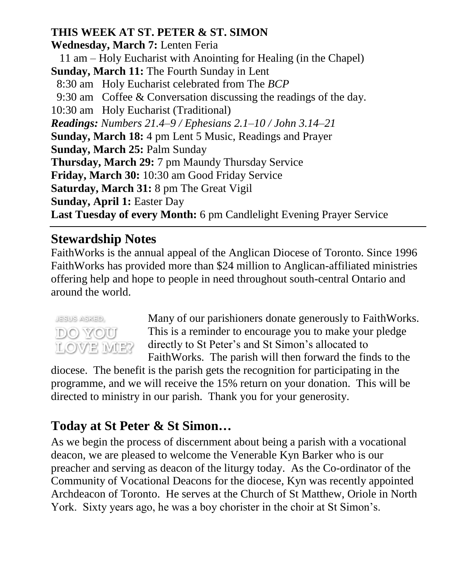### **THIS WEEK AT ST. PETER & ST. SIMON**

**Wednesday, March 7:** Lenten Feria 11 am – Holy Eucharist with Anointing for Healing (in the Chapel) **Sunday, March 11:** The Fourth Sunday in Lent 8:30 am Holy Eucharist celebrated from The *BCP* 9:30 am Coffee & Conversation discussing the readings of the day. 10:30 am Holy Eucharist (Traditional) *Readings: Numbers 21.4–9 / Ephesians 2.1–10 / John 3.14–21* **Sunday, March 18:** 4 pm Lent 5 Music, Readings and Prayer **Sunday, March 25:** Palm Sunday **Thursday, March 29:** 7 pm Maundy Thursday Service **Friday, March 30:** 10:30 am Good Friday Service **Saturday, March 31:** 8 pm The Great Vigil **Sunday, April 1:** Easter Day **Last Tuesday of every Month:** 6 pm Candlelight Evening Prayer Service

### **Stewardship Notes**

FaithWorks is the annual appeal of the Anglican Diocese of Toronto. Since 1996 FaithWorks has provided more than \$24 million to Anglican-affiliated ministries offering help and hope to people in need throughout south-central Ontario and around the world.



Many of our parishioners donate generously to FaithWorks. This is a reminder to encourage you to make your pledge directly to St Peter's and St Simon's allocated to FaithWorks. The parish will then forward the finds to the

diocese. The benefit is the parish gets the recognition for participating in the programme, and we will receive the 15% return on your donation. This will be directed to ministry in our parish. Thank you for your generosity.

# **Today at St Peter & St Simon…**

As we begin the process of discernment about being a parish with a vocational deacon, we are pleased to welcome the Venerable Kyn Barker who is our preacher and serving as deacon of the liturgy today. As the Co-ordinator of the Community of Vocational Deacons for the diocese, Kyn was recently appointed Archdeacon of Toronto. He serves at the Church of St Matthew, Oriole in North York. Sixty years ago, he was a boy chorister in the choir at St Simon's.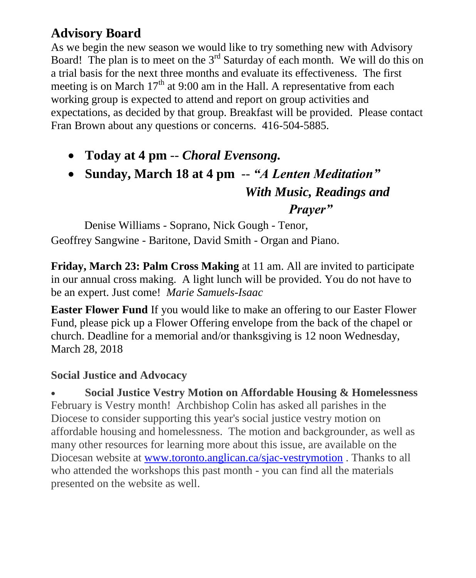## **Advisory Board**

As we begin the new season we would like to try something new with Advisory Board! The plan is to meet on the  $3<sup>rd</sup>$  Saturday of each month. We will do this on a trial basis for the next three months and evaluate its effectiveness. The first meeting is on March  $17<sup>th</sup>$  at 9:00 am in the Hall. A representative from each working group is expected to attend and report on group activities and expectations, as decided by that group. Breakfast will be provided. Please contact Fran Brown about any questions or concerns. 416-504-5885.

- **Today at 4 pm** -- *Choral Evensong.*
- **Sunday, March 18 at 4 pm** -- *"A Lenten Meditation" With Music, Readings and*

*Prayer"*

Denise Williams - Soprano, Nick Gough - Tenor, Geoffrey Sangwine - Baritone, David Smith - Organ and Piano.

**Friday, March 23: Palm Cross Making** at 11 am. All are invited to participate in our annual cross making. A light lunch will be provided. You do not have to be an expert. Just come! *Marie Samuels-Isaac*

**Easter Flower Fund** If you would like to make an offering to our Easter Flower Fund, please pick up a Flower Offering envelope from the back of the chapel or church. Deadline for a memorial and/or thanksgiving is 12 noon Wednesday, March 28, 2018

### **Social Justice and Advocacy**

 **Social Justice Vestry Motion on Affordable Housing & Homelessness** February is Vestry month! Archbishop Colin has asked all parishes in the Diocese to consider supporting this year's social justice vestry motion on affordable housing and homelessness. The motion and backgrounder, as well as many other resources for learning more about this issue, are available on the Diocesan website at [www.toronto.anglican.ca/sjac-vestrymotion](http://r20.rs6.net/tn.jsp?f=001Ekn5tszf_3PgAvMWrMwZ1haq9u_Jdv1rjh_60zqlAkrknY8VrhIl2_FHRXvvneMHTWU4QOFjpfUn3NCRARSC4bkLBv1fzkk7pVpUbOkhMDJox6sj6p5ceeOFMAlDnq_HqSLY8xT7RC45WynQdDH369JhwtTYdqLPQSjWJWQl6GqXiX0gALlOb1H4Ot7Zst8wx49ZMOFtPys=&c=A0AdZXVKigjeWe-XQ8bUjRhm9brRAF9eD_QN5zFKwoHHAUv9iZuW4w==&ch=VXbPTBvDqz2WGGsVAcgdE3i0ovmJS0jaLI8XmkuHSsCeZUQPrLxIuA==) . Thanks to all who attended the workshops this past month - you can find all the materials presented on the website as well.